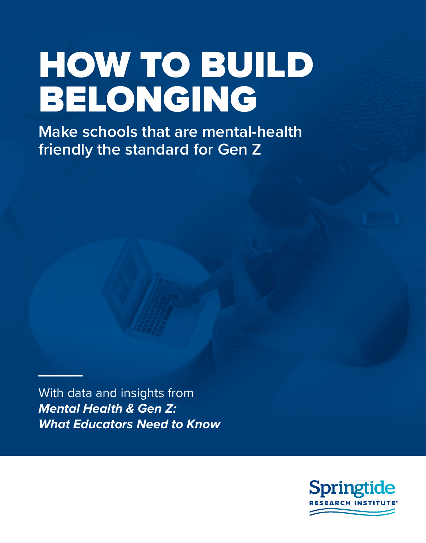# HOW TO BUILD BELONGING

**Make schools that are mental-health friendly the standard for Gen Z**

With data and insights from *Mental Health & Gen Z: What Educators Need to Know*

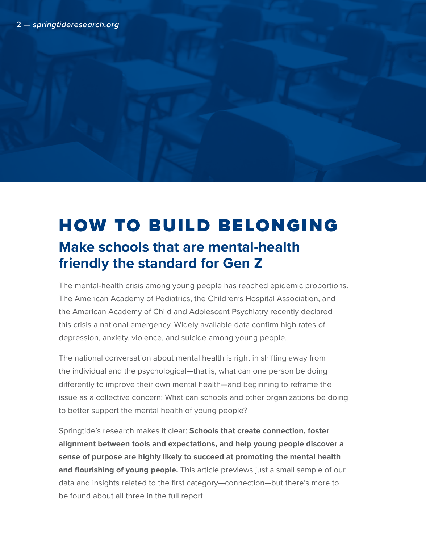# HOW TO BUILD BELONGING **Make schools that are mental-health friendly the standard for Gen Z**

The mental-health crisis among young people has reached epidemic proportions. The American Academy of Pediatrics, the Children's Hospital Association, and the American Academy of Child and Adolescent Psychiatry recently declared this crisis a national emergency. Widely available data confirm high rates of depression, anxiety, violence, and suicide among young people.

The national conversation about mental health is right in shifting away from the individual and the psychological—that is, what can one person be doing differently to improve their own mental health—and beginning to reframe the issue as a collective concern: What can schools and other organizations be doing to better support the mental health of young people?

Springtide's research makes it clear: **Schools that create connection, foster alignment between tools and expectations, and help young people discover a sense of purpose are highly likely to succeed at promoting the mental health and flourishing of young people.** This article previews just a small sample of our data and insights related to the first category—connection—but there's more to be found about all three in the full report.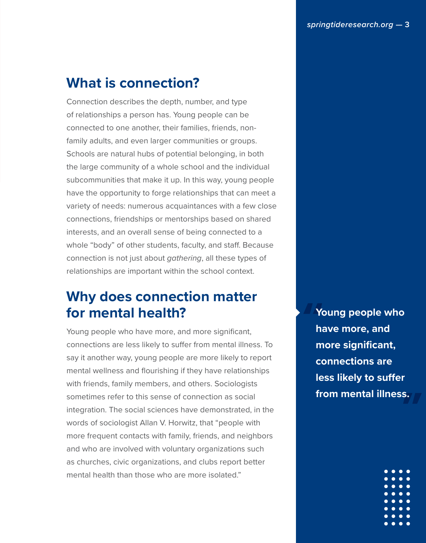# **What is connection?**

Connection describes the depth, number, and type of relationships a person has. Young people can be connected to one another, their families, friends, nonfamily adults, and even larger communities or groups. Schools are natural hubs of potential belonging, in both the large community of a whole school and the individual subcommunities that make it up. In this way, young people have the opportunity to forge relationships that can meet a variety of needs: numerous acquaintances with a few close connections, friendships or mentorships based on shared interests, and an overall sense of being connected to a whole "body" of other students, faculty, and staff. Because connection is not just about *gathering*, all these types of relationships are important within the school context.

## **Why does connection matter for mental health?**

Young people who have more, and more significant, connections are less likely to suffer from mental illness. To say it another way, young people are more likely to report mental wellness and flourishing if they have relationships with friends, family members, and others. Sociologists sometimes refer to this sense of connection as social integration. The social sciences have demonstrated, in the words of sociologist Allan V. Horwitz, that "people with more frequent contacts with family, friends, and neighbors and who are involved with voluntary organizations such as churches, civic organizations, and clubs report better mental health than those who are more isolated."

**Young people who have more, and more significant, connections are less likely to suffer from mental illness.**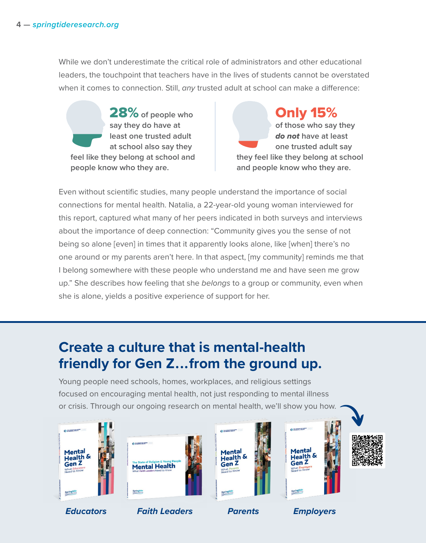While we don't underestimate the critical role of administrators and other educational leaders, the touchpoint that teachers have in the lives of students cannot be overstated when it comes to connection. Still, *any* trusted adult at school can make a difference:

28% **of people who say they do have at least one trusted adult at school also say they feel like they belong at school and people know who they are.**

Only 15% **of those who say they**  *do not* **have at least one trusted adult say they feel like they belong at school and people know who they are.**

Even without scientific studies, many people understand the importance of social connections for mental health. Natalia, a 22-year-old young woman interviewed for this report, captured what many of her peers indicated in both surveys and interviews about the importance of deep connection: "Community gives you the sense of not being so alone [even] in times that it apparently looks alone, like [when] there's no one around or my parents aren't here. In that aspect, [my community] reminds me that I belong somewhere with these people who understand me and have seen me grow up." She describes how feeling that she *belongs* to a group or community, even when she is alone, yields a positive experience of support for her.

# **Create a culture that is mental-health friendly for Gen Z . . . from the ground up.**

Young people need schools, homes, workplaces, and religious settings focused on encouraging mental health, not just responding to mental illness or crisis. Through our ongoing research on mental health, we'll show you how.











*Educators Faith Leaders Parents Employers*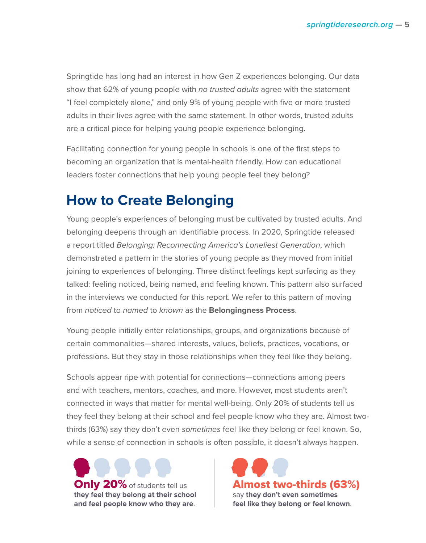Springtide has long had an interest in how Gen Z experiences belonging. Our data show that 62% of young people with *no trusted adults* agree with the statement "I feel completely alone," and only 9% of young people with five or more trusted adults in their lives agree with the same statement. In other words, trusted adults are a critical piece for helping young people experience belonging.

Facilitating connection for young people in schools is one of the first steps to becoming an organization that is mental-health friendly. How can educational leaders foster connections that help young people feel they belong?

#### **How to Create Belonging**

Young people's experiences of belonging must be cultivated by trusted adults. And belonging deepens through an identifiable process. In 2020, Springtide released a report titled *Belonging: Reconnecting America's Loneliest Generation*, which demonstrated a pattern in the stories of young people as they moved from initial joining to experiences of belonging. Three distinct feelings kept surfacing as they talked: feeling noticed, being named, and feeling known. This pattern also surfaced in the interviews we conducted for this report. We refer to this pattern of moving from *noticed* to *named* to *known* as the **Belongingness Process**.

Young people initially enter relationships, groups, and organizations because of certain commonalities—shared interests, values, beliefs, practices, vocations, or professions. But they stay in those relationships when they feel like they belong.

Schools appear ripe with potential for connections—connections among peers and with teachers, mentors, coaches, and more. However, most students aren't connected in ways that matter for mental well-being. Only 20% of students tell us they feel they belong at their school and feel people know who they are. Almost twothirds (63%) say they don't even *sometimes* feel like they belong or feel known. So, while a sense of connection in schools is often possible, it doesn't always happen.



Almost two-thirds (63%) say **they don't even sometimes feel like they belong or feel known**.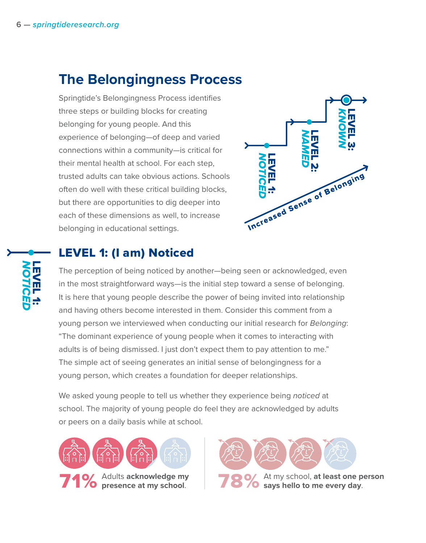# **The Belongingness Process**

Springtide's Belongingness Process identifies three steps or building blocks for creating belonging for young people. And this experience of belonging—of deep and varied connections within a community—is critical for their mental health at school. For each step, trusted adults can take obvious actions. Schools often do well with these critical building blocks, but there are opportunities to dig deeper into each of these dimensions as well, to increase belonging in educational settings. **PROCESS** 



## LEVEL 1: (I am) Noticed

The perception of being noticed by another—being seen or acknowledged, even in the most straightforward ways—is the initial step toward a sense of belonging. It is here that young people describe the power of being invited into relationship and having others become interested in them. Consider this comment from a young person we interviewed when conducting our initial research for *Belonging*: "The dominant experience of young people when it comes to interacting with adults is of being dismissed. I just don't expect them to pay attention to me." The simple act of seeing generates an initial sense of belongingness for a young person, which creates a foundation for deeper relationships.

We asked young people to tell us whether they experience being *noticed* at school. The majority of young people do feel they are acknowledged by adults or peers on a daily basis while at school.



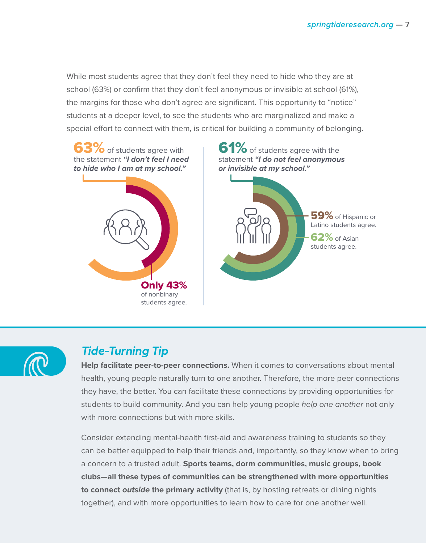While most students agree that they don't feel they need to hide who they are at school (63%) or confirm that they don't feel anonymous or invisible at school (61%), the margins for those who don't agree are significant. This opportunity to "notice" students at a deeper level, to see the students who are marginalized and make a special effort to connect with them, is critical for building a community of belonging.





#### *Tide-Turning Tip*

**Help facilitate peer-to-peer connections.** When it comes to conversations about mental health, young people naturally turn to one another. Therefore, the more peer connections they have, the better. You can facilitate these connections by providing opportunities for students to build community. And you can help young people *help one another* not only with more connections but with more skills.

Consider extending mental-health first-aid and awareness training to students so they can be better equipped to help their friends and, importantly, so they know when to bring a concern to a trusted adult. **Sports teams, dorm communities, music groups, book clubs—all these types of communities can be strengthened with more opportunities to connect** *outside* **the primary activity** (that is, by hosting retreats or dining nights together), and with more opportunities to learn how to care for one another well.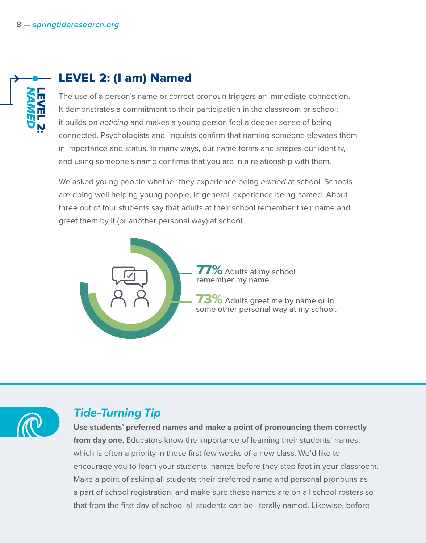

#### LEVEL 2: (I am) Named

The use of a person's name or correct pronoun triggers an immediate connection. It demonstrates a commitment to their participation in the classroom or school; it builds on *noticing* and makes a young person feel a deeper sense of being connected. Psychologists and linguists confirm that naming someone elevates them in importance and status. In many ways, our name forms and shapes our identity, and using someone's name confirms that you are in a relationship with them.

We asked young people whether they experience being *named* at school. Schools are doing well helping young people, in general, experience being named. About three out of four students say that adults at their school remember their name and greet them by it (or another personal way) at school.



 $77\%$  Adults at my school remember my name.

3% Adults greet me by name or in some other personal way at my school.



#### *Tide-Turning Tip*

**Use students' preferred names and make a point of pronouncing them correctly from day one.** Educators know the importance of learning their students' names, which is often a priority in those first few weeks of a new class. We'd like to encourage you to learn your students' names before they step foot in your classroom. Make a point of asking all students their preferred name and personal pronouns as a part of school registration, and make sure these names are on all school rosters so that from the first day of school all students can be literally named. Likewise, before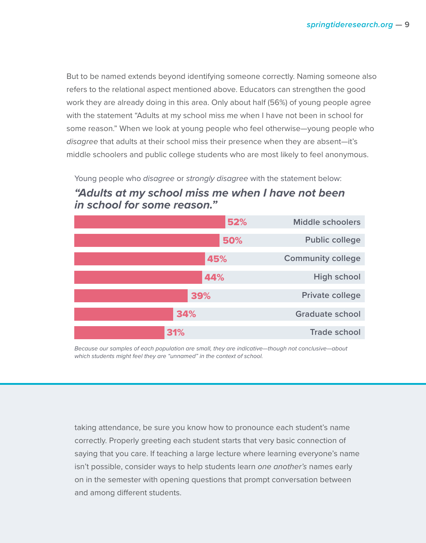But to be named extends beyond identifying someone correctly. Naming someone also refers to the relational aspect mentioned above. Educators can strengthen the good work they are already doing in this area. Only about half (56%) of young people agree with the statement "Adults at my school miss me when I have not been in school for some reason." When we look at young people who feel otherwise—young people who *disagree* that adults at their school miss their presence when they are absent—it's middle schoolers and public college students who are most likely to feel anonymous.

Young people who disagree or strongly disagree with the statement below: **"Adults at my school miss me when I have not been in school for some reason."** 



Because our samples of each population are small, they are indicative—though not conclusive—about which students might feel they are "unnamed" in the context of school.

taking attendance, be sure you know how to pronounce each student's name correctly. Properly greeting each student starts that very basic connection of saying that you care. If teaching a large lecture where learning everyone's name isn't possible, consider ways to help students learn *one another's* names early on in the semester with opening questions that prompt conversation between and among different students.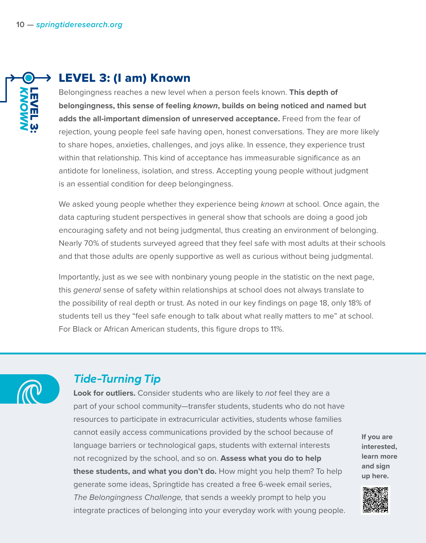

#### LEVEL 3: (I am) Known

Belongingness reaches a new level when a person feels known. **This depth of belongingness, this sense of feeling** *known***, builds on being noticed and named but adds the all-important dimension of unreserved acceptance.** Freed from the fear of rejection, young people feel safe having open, honest conversations. They are more likely to share hopes, anxieties, challenges, and joys alike. In essence, they experience trust within that relationship. This kind of acceptance has immeasurable significance as an antidote for loneliness, isolation, and stress. Accepting young people without judgment is an essential condition for deep belongingness.

We asked young people whether they experience being *known* at school. Once again, the data capturing student perspectives in general show that schools are doing a good job encouraging safety and not being judgmental, thus creating an environment of belonging. Nearly 70% of students surveyed agreed that they feel safe with most adults at their schools and that those adults are openly supportive as well as curious without being judgmental.

Importantly, just as we see with nonbinary young people in the statistic on the next page, this *general* sense of safety within relationships at school does not always translate to the possibility of real depth or trust. As noted in our key findings on page 18, only 18% of students tell us they "feel safe enough to talk about what really matters to me" at school. For Black or African American students, this figure drops to 11%.



#### *Tide-Turning Tip*

**Look for outliers.** Consider students who are likely to *not* feel they are a part of your school community—transfer students, students who do not have resources to participate in extracurricular activities, students whose families cannot easily access communications provided by the school because of language barriers or technological gaps, students with external interests not recognized by the school, and so on. **Assess what you do to help these students, and what you don't do.** How might you help them? To help generate some ideas, Springtide has created a free 6-week email series, *The Belongingness Challenge,* that sends a weekly prompt to help you integrate practices of belonging into your everyday work with young people.

**If you are interested, learn more and sign up here.**

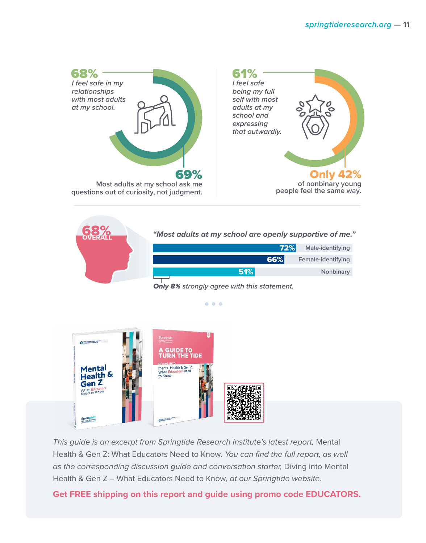



 $\bullet\bullet\bullet$ 



*This guide is an excerpt from Springtide Research Institute's latest report,* Mental Health & Gen Z: What Educators Need to Know*. You can find the full report, as well as the corresponding discussion guide and conversation starter,* Diving into Mental Health & Gen Z – What Educators Need to Know*, at our Springtide website.*

**Get FREE shipping on this report and guide using promo code EDUCATORS.**